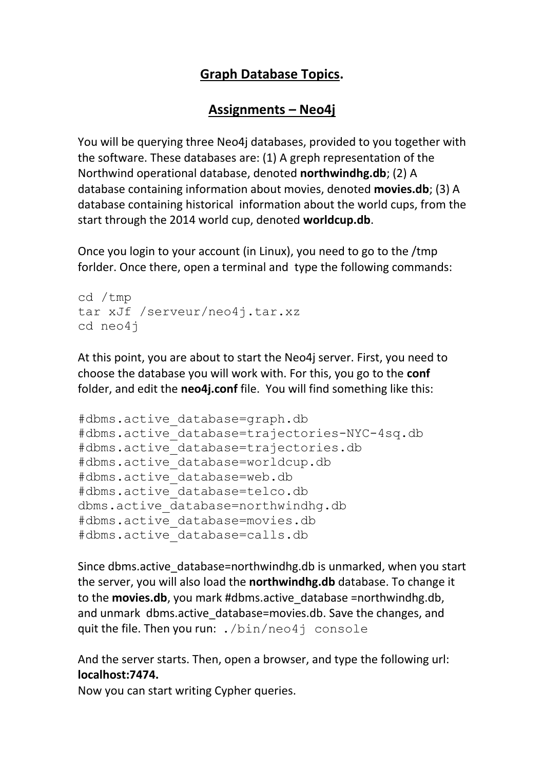## **Graph Database Topics.**

### **Assignments – Neo4j**

You will be querying three Neo4j databases, provided to you together with the software. These databases are: (1) A greph representation of the Northwind operational database, denoted **northwindhg.db**; (2) A database containing information about movies, denoted **movies.db**; (3) A database containing historical information about the world cups, from the start through the 2014 world cup, denoted **worldcup.db**.

Once you login to your account (in Linux), you need to go to the /tmp forlder. Once there, open a terminal and type the following commands:

```
cd /tmp
tar xJf /serveur/neo4j.tar.xz
cd neo4j
```
At this point, you are about to start the Neo4j server. First, you need to choose the database you will work with. For this, you go to the **conf** folder, and edit the **neo4j.conf** file. You will find something like this:

```
#dbms.active_database=graph.db
#dbms.active_database=trajectories-NYC-4sq.db
#dbms.active_database=trajectories.db
#dbms.active_database=worldcup.db
#dbms.active_database=web.db
#dbms.active_database=telco.db
dbms.active database=northwindhg.db
#dbms.active_database=movies.db
#dbms.active_database=calls.db
```
Since dbms.active database=northwindhg.db is unmarked, when you start the server, you will also load the **northwindhg.db** database. To change it to the **movies.db**, you mark #dbms.active\_database =northwindhg.db, and unmark dbms.active database=movies.db. Save the changes, and quit the file. Then you run: ./bin/neo4j console

And the server starts. Then, open a browser, and type the following url: **localhost:7474.**

Now you can start writing Cypher queries.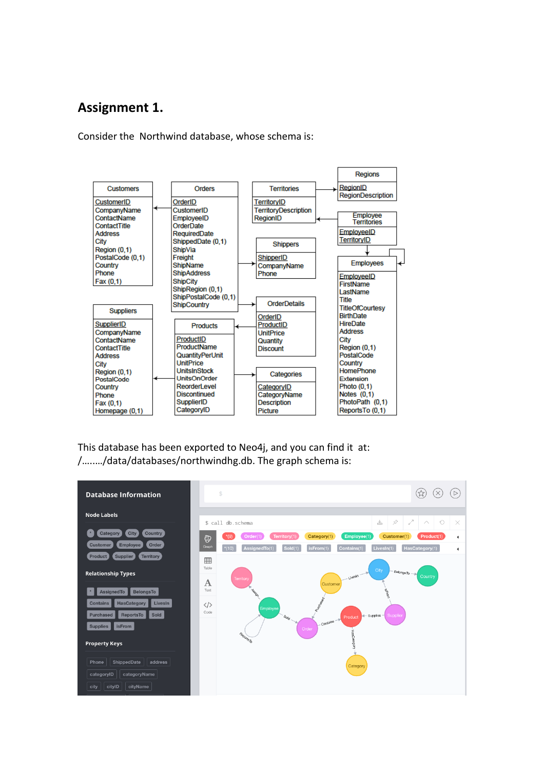### **Assignment 1.**

Consider the Northwind database, whose schema is:



This database has been exported to Neo4j, and you can find it at: /…..…/data/databases/northwindhg.db. The graph schema is:

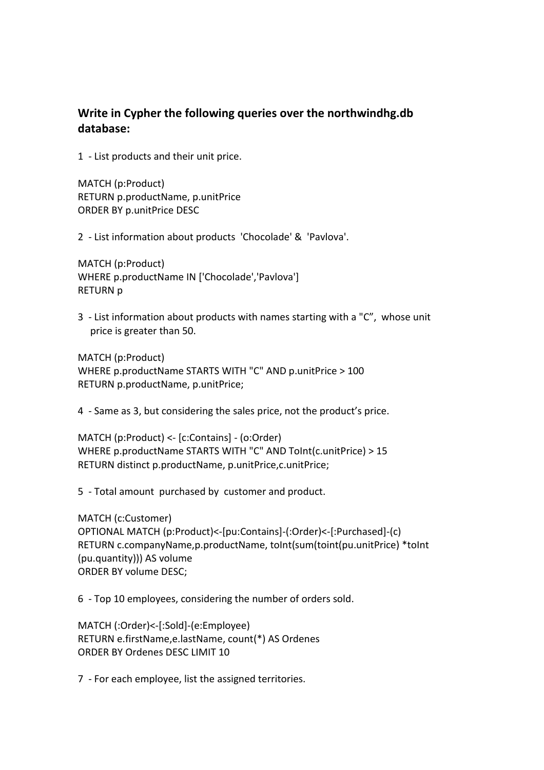### **Write in Cypher the following queries over the northwindhg.db database:**

1 - List products and their unit price.

MATCH (p:Product) RETURN p.productName, p.unitPrice ORDER BY p.unitPrice DESC

2 - List information about products 'Chocolade' & 'Pavlova'.

MATCH (p:Product) WHERE p.productName IN ['Chocolade','Pavlova'] RETURN p

3 - List information about products with names starting with a "C", whose unit price is greater than 50.

MATCH (p:Product) WHERE p.productName STARTS WITH "C" AND p.unitPrice > 100 RETURN p.productName, p.unitPrice;

4 - Same as 3, but considering the sales price, not the product's price.

MATCH (p:Product) <- [c:Contains] - (o:Order) WHERE p.productName STARTS WITH "C" AND ToInt(c.unitPrice) > 15 RETURN distinct p.productName, p.unitPrice,c.unitPrice;

5 - Total amount purchased by customer and product.

MATCH (c:Customer) OPTIONAL MATCH (p:Product)<-[pu:Contains]-(:Order)<-[:Purchased]-(c) RETURN c.companyName,p.productName, toInt(sum(toint(pu.unitPrice) \*toInt (pu.quantity))) AS volume ORDER BY volume DESC;

6 - Top 10 employees, considering the number of orders sold.

MATCH (:Order)<-[:Sold]-(e:Employee) RETURN e.firstName,e.lastName, count(\*) AS Ordenes ORDER BY Ordenes DESC LIMIT 10

7 - For each employee, list the assigned territories.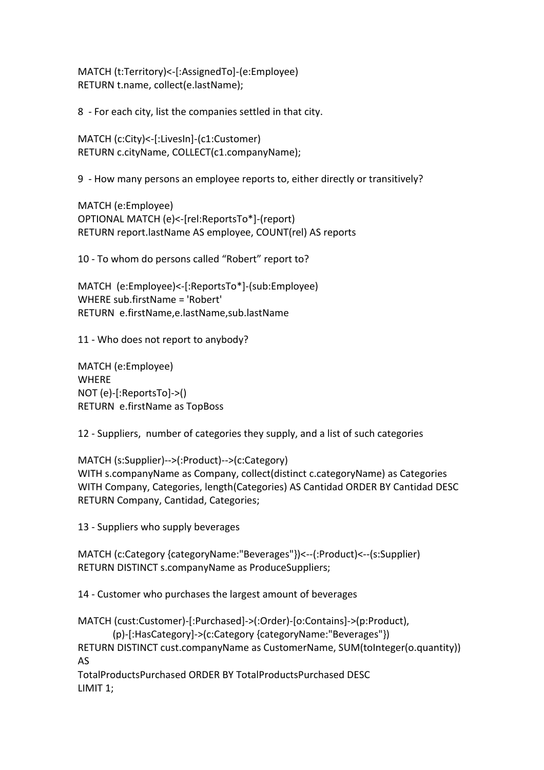MATCH (t:Territory)<-[:AssignedTo]-(e:Employee) RETURN t.name, collect(e.lastName);

8 - For each city, list the companies settled in that city.

MATCH (c:City)<-[:LivesIn]-(c1:Customer) RETURN c.cityName, COLLECT(c1.companyName);

9 - How many persons an employee reports to, either directly or transitively?

MATCH (e:Employee) OPTIONAL MATCH (e)<-[rel:ReportsTo\*]-(report) RETURN report.lastName AS employee, COUNT(rel) AS reports

10 - To whom do persons called "Robert" report to?

MATCH (e:Employee)<-[:ReportsTo\*]-(sub:Employee) WHERE sub.firstName = 'Robert' RETURN e.firstName,e.lastName,sub.lastName

11 - Who does not report to anybody?

MATCH (e:Employee) WHERE NOT (e)-[:ReportsTo]->() RETURN e.firstName as TopBoss

12 - Suppliers, number of categories they supply, and a list of such categories

MATCH (s:Supplier)-->(:Product)-->(c:Category) WITH s.companyName as Company, collect(distinct c.categoryName) as Categories WITH Company, Categories, length(Categories) AS Cantidad ORDER BY Cantidad DESC RETURN Company, Cantidad, Categories;

13 - Suppliers who supply beverages

MATCH (c:Category {categoryName:"Beverages"})<--(:Product)<--(s:Supplier) RETURN DISTINCT s.companyName as ProduceSuppliers;

14 - Customer who purchases the largest amount of beverages

```
MATCH (cust:Customer)-[:Purchased]->(:Order)-[o:Contains]->(p:Product),
        (p)-[:HasCategory]->(c:Category {categoryName:"Beverages"})
RETURN DISTINCT cust.companyName as CustomerName, SUM(toInteger(o.quantity)) 
AS
TotalProductsPurchased ORDER BY TotalProductsPurchased DESC
LIMIT 1;
```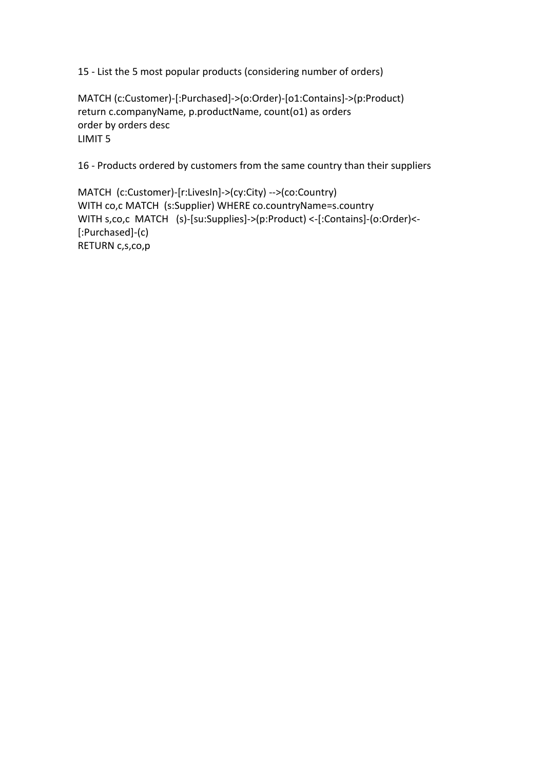15 - List the 5 most popular products (considering number of orders)

MATCH (c:Customer)-[:Purchased]->(o:Order)-[o1:Contains]->(p:Product) return c.companyName, p.productName, count(o1) as orders order by orders desc LIMIT 5

16 - Products ordered by customers from the same country than their suppliers

MATCH (c:Customer)-[r:LivesIn]->(cy:City) -->(co:Country) WITH co,c MATCH (s:Supplier) WHERE co.countryName=s.country WITH s,co,c MATCH (s)-[su:Supplies]->(p:Product) <-[:Contains]-(o:Order)<- [:Purchased]-(c) RETURN c,s,co,p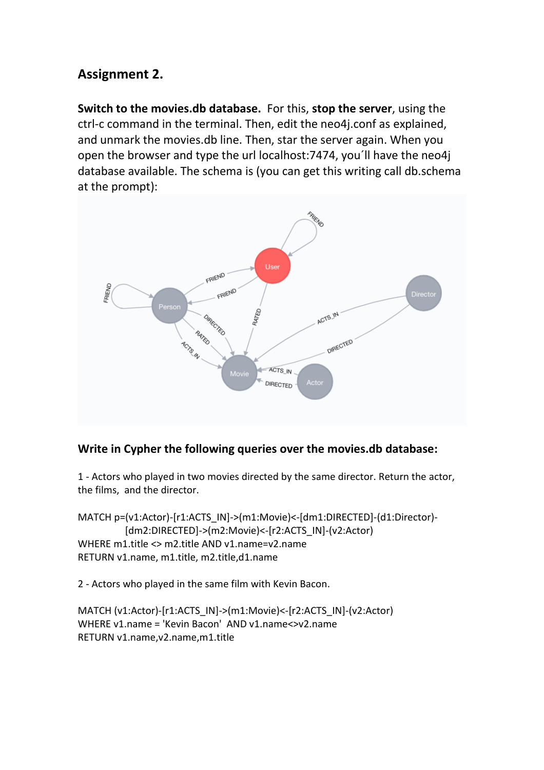## **Assignment 2.**

**Switch to the movies.db database.** For this, **stop the server**, using the ctrl-c command in the terminal. Then, edit the neo4j.conf as explained, and unmark the movies.db line. Then, star the server again. When you open the browser and type the url localhost:7474, you´ll have the neo4j database available. The schema is (you can get this writing call db.schema at the prompt):



### **Write in Cypher the following queries over the movies.db database:**

1 - Actors who played in two movies directed by the same director. Return the actor, the films, and the director.

MATCH p=(v1:Actor)-[r1:ACTS\_IN]->(m1:Movie)<-[dm1:DIRECTED]-(d1:Director)- [dm2:DIRECTED]->(m2:Movie)<-[r2:ACTS\_IN]-(v2:Actor) WHERE m1.title <> m2.title AND v1.name=v2.name RETURN v1.name, m1.title, m2.title,d1.name

2 - Actors who played in the same film with Kevin Bacon.

```
MATCH (v1:Actor)-[r1:ACTS_IN]->(m1:Movie)<-[r2:ACTS_IN]-(v2:Actor)
WHERE v1.name = 'Kevin Bacon' AND v1.name<>v2.name 
RETURN v1.name,v2.name,m1.title
```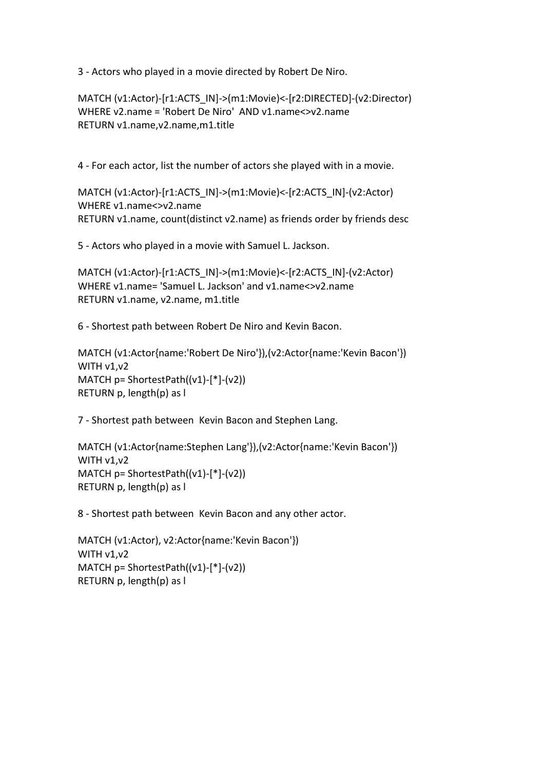3 - Actors who played in a movie directed by Robert De Niro.

MATCH (v1:Actor)-[r1:ACTS\_IN]->(m1:Movie)<-[r2:DIRECTED]-(v2:Director) WHERE v2.name = 'Robert De Niro' AND v1.name<>v2.name RETURN v1.name,v2.name,m1.title

4 - For each actor, list the number of actors she played with in a movie.

MATCH (v1:Actor)-[r1:ACTS\_IN]->(m1:Movie)<-[r2:ACTS\_IN]-(v2:Actor) WHERE v1.name<>v2.name RETURN v1.name, count(distinct v2.name) as friends order by friends desc

5 - Actors who played in a movie with Samuel L. Jackson.

MATCH (v1:Actor)-[r1:ACTS\_IN]->(m1:Movie)<-[r2:ACTS\_IN]-(v2:Actor) WHERE v1.name= 'Samuel L. Jackson' and v1.name<>v2.name RETURN v1.name, v2.name, m1.title

6 - Shortest path between Robert De Niro and Kevin Bacon.

MATCH (v1:Actor{name:'Robert De Niro'}),(v2:Actor{name:'Kevin Bacon'}) WITH v1,v2 MATCH p= ShortestPath((v1)-[\*]-(v2)) RETURN p, length(p) as l

7 - Shortest path between Kevin Bacon and Stephen Lang.

MATCH (v1:Actor{name:Stephen Lang'}),(v2:Actor{name:'Kevin Bacon'}) WITH v1,v2 MATCH  $p = ShortestPath((v1)-[*]-(v2))$ RETURN p, length(p) as l

8 - Shortest path between Kevin Bacon and any other actor.

```
MATCH (v1:Actor), v2:Actor{name:'Kevin Bacon'}) 
WITH v1, v2
MATCH p= ShortestPath((v1)-[*]-(v2)) 
RETURN p, length(p) as l
```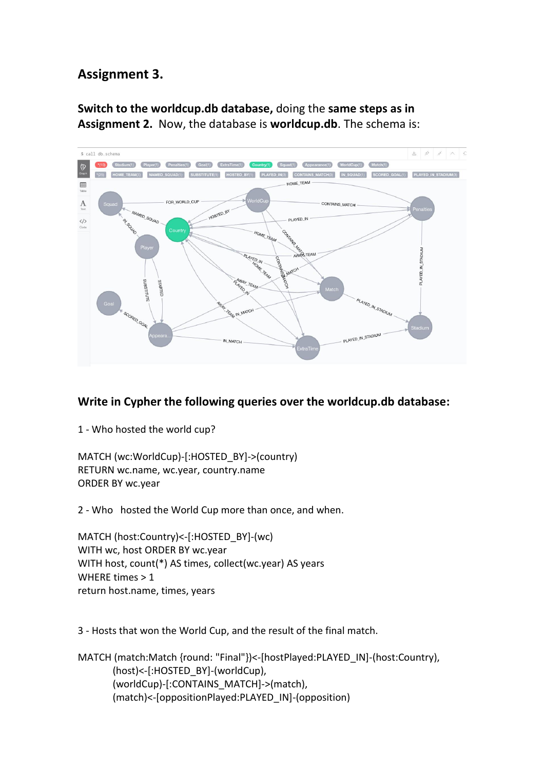# **Assignment 3.**

**Switch to the worldcup.db database,** doing the **same steps as in Assignment 2.** Now, the database is **worldcup.db**. The schema is:



### **Write in Cypher the following queries over the worldcup.db database:**

1 - Who hosted the world cup?

MATCH (wc:WorldCup)-[:HOSTED\_BY]->(country) RETURN wc.name, wc.year, country.name ORDER BY wc.year

2 - Who hosted the World Cup more than once, and when.

MATCH (host:Country)<-[:HOSTED\_BY]-(wc) WITH wc, host ORDER BY wc.year WITH host, count(\*) AS times, collect(wc.year) AS years WHERE times > 1 return host.name, times, years

3 - Hosts that won the World Cup, and the result of the final match.

MATCH (match:Match {round: "Final"})<-[hostPlayed:PLAYED\_IN]-(host:Country), (host)<-[:HOSTED\_BY]-(worldCup), (worldCup)-[:CONTAINS\_MATCH]->(match), (match)<-[oppositionPlayed:PLAYED\_IN]-(opposition)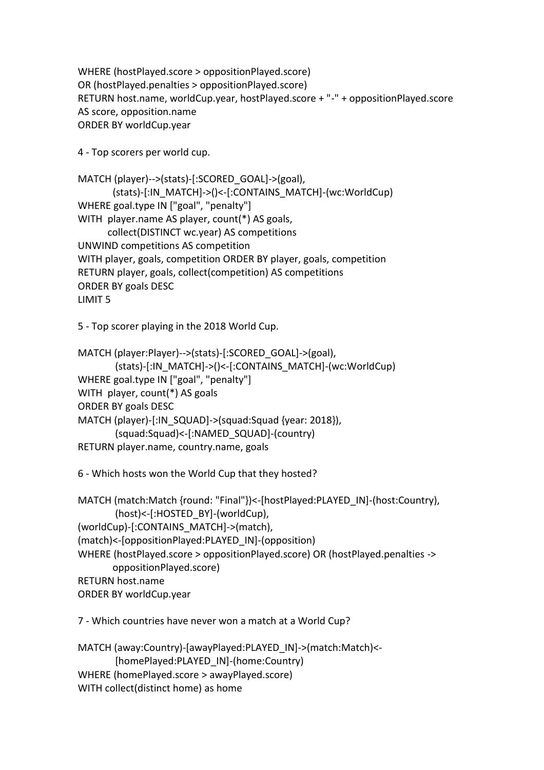WHERE (hostPlayed.score > oppositionPlayed.score) OR (hostPlayed.penalties > oppositionPlayed.score) RETURN host.name, worldCup.year, hostPlayed.score + "-" + oppositionPlayed.score AS score, opposition.name ORDER BY worldCup.year

4 - Top scorers per world cup.

```
MATCH (player)-->(stats)-[:SCORED_GOAL]->(goal),
        (stats)-[:IN_MATCH]->()<-[:CONTAINS_MATCH]-(wc:WorldCup)
WHERE goal.type IN ["goal", "penalty"]
WITH player.name AS player, count(*) AS goals, 
       collect(DISTINCT wc.year) AS competitions
UNWIND competitions AS competition
WITH player, goals, competition ORDER BY player, goals, competition
RETURN player, goals, collect(competition) AS competitions
ORDER BY goals DESC
LIMIT 5
```
5 - Top scorer playing in the 2018 World Cup.

```
MATCH (player:Player)-->(stats)-[:SCORED_GOAL]->(goal),
        (stats)-[:IN_MATCH]->()<-[:CONTAINS_MATCH]-(wc:WorldCup)
WHERE goal.type IN ["goal", "penalty"]
WITH player, count(*) AS goals
ORDER BY goals DESC
MATCH (player)-[:IN_SQUAD]->(squad:Squad {year: 2018}),
        (squad:Squad)<-[:NAMED_SQUAD]-(country)
RETURN player.name, country.name, goals
```
6 - Which hosts won the World Cup that they hosted?

```
MATCH (match:Match {round: "Final"})<-[hostPlayed:PLAYED_IN]-(host:Country),
        (host)<-[:HOSTED_BY]-(worldCup),
(worldCup)-[:CONTAINS_MATCH]->(match),
(match)<-[oppositionPlayed:PLAYED_IN]-(opposition)
WHERE (hostPlayed.score > oppositionPlayed.score) OR (hostPlayed.penalties -> 
        oppositionPlayed.score)
RETURN host.name
ORDER BY worldCup.year
```
7 - Which countries have never won a match at a World Cup?

```
MATCH (away:Country)-[awayPlayed:PLAYED_IN]->(match:Match)<-
        [homePlayed:PLAYED_IN]-(home:Country)
WHERE (homePlayed.score > awayPlayed.score)
WITH collect(distinct home) as home
```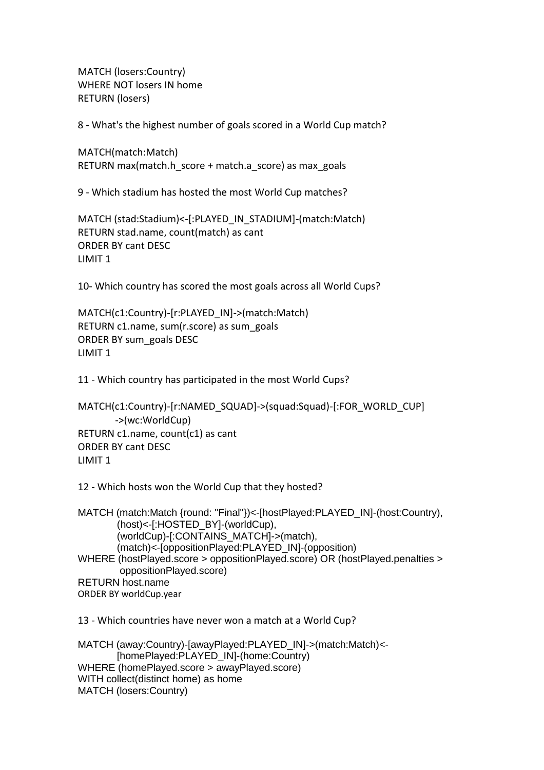MATCH (losers:Country) WHERE NOT losers IN home RETURN (losers)

8 - What's the highest number of goals scored in a World Cup match?

MATCH(match:Match) RETURN max(match.h\_score + match.a\_score) as max\_goals

9 - Which stadium has hosted the most World Cup matches?

MATCH (stad:Stadium)<-[:PLAYED\_IN\_STADIUM]-(match:Match) RETURN stad.name, count(match) as cant ORDER BY cant DESC LIMIT 1

10- Which country has scored the most goals across all World Cups?

MATCH(c1:Country)-[r:PLAYED\_IN]->(match:Match) RETURN c1.name, sum(r.score) as sum\_goals ORDER BY sum\_goals DESC LIMIT 1

11 - Which country has participated in the most World Cups?

```
MATCH(c1:Country)-[r:NAMED_SQUAD]->(squad:Squad)-[:FOR_WORLD_CUP]
        ->(wc:WorldCup)
RETURN c1.name, count(c1) as cant
ORDER BY cant DESC
LIMIT 1
```
12 - Which hosts won the World Cup that they hosted?

```
MATCH (match:Match {round: "Final"})<-[hostPlayed:PLAYED_IN]-(host:Country), 
         (host)<-[:HOSTED_BY]-(worldCup), 
         (worldCup)-[:CONTAINS_MATCH]->(match), 
         (match)<-[oppositionPlayed:PLAYED_IN]-(opposition) 
WHERE (hostPlayed.score > oppositionPlayed.score) OR (hostPlayed.penalties > 
         oppositionPlayed.score) 
RETURN host.name 
ORDER BY worldCup.year
```
13 - Which countries have never won a match at a World Cup?

MATCH (away:Country)-[awayPlayed:PLAYED\_IN]->(match:Match)<- [homePlayed:PLAYED\_IN]-(home:Country) WHERE (homePlayed.score > awayPlayed.score) WITH collect(distinct home) as home MATCH (losers:Country)